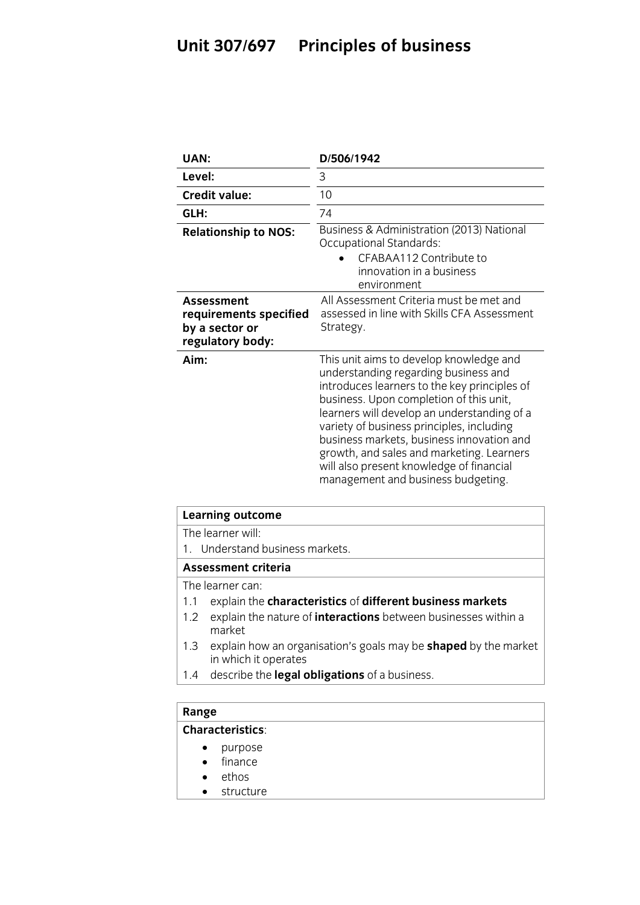## **Unit 307/697 Principles of business**

| UAN:                                                                              | D/506/1942                                                                                                                                                                                                                                                                                                                                                                                                                                         |
|-----------------------------------------------------------------------------------|----------------------------------------------------------------------------------------------------------------------------------------------------------------------------------------------------------------------------------------------------------------------------------------------------------------------------------------------------------------------------------------------------------------------------------------------------|
| Level:                                                                            | 3                                                                                                                                                                                                                                                                                                                                                                                                                                                  |
| <b>Credit value:</b>                                                              | 10                                                                                                                                                                                                                                                                                                                                                                                                                                                 |
| GLH:                                                                              | 74                                                                                                                                                                                                                                                                                                                                                                                                                                                 |
| <b>Relationship to NOS:</b>                                                       | Business & Administration (2013) National<br>Occupational Standards:<br>CFABAA112 Contribute to<br>innovation in a business<br>environment                                                                                                                                                                                                                                                                                                         |
| <b>Assessment</b><br>requirements specified<br>by a sector or<br>regulatory body: | All Assessment Criteria must be met and<br>assessed in line with Skills CFA Assessment<br>Strategy.                                                                                                                                                                                                                                                                                                                                                |
| Aim:                                                                              | This unit aims to develop knowledge and<br>understanding regarding business and<br>introduces learners to the key principles of<br>business. Upon completion of this unit,<br>learners will develop an understanding of a<br>variety of business principles, including<br>business markets, business innovation and<br>growth, and sales and marketing. Learners<br>will also present knowledge of financial<br>management and business budgeting. |

| <b>Learning outcome</b>                                                                               |  |
|-------------------------------------------------------------------------------------------------------|--|
| The learner will:                                                                                     |  |
| 1. Understand business markets.                                                                       |  |
| <b>Assessment criteria</b>                                                                            |  |
| The learner can:                                                                                      |  |
| explain the characteristics of different business markets<br>1.1                                      |  |
| explain the nature of <b>interactions</b> between businesses within a<br>1.2<br>market.               |  |
| explain how an organisation's goals may be <b>shaped</b> by the market<br>1.3<br>in which it operates |  |
| describe the legal obligations of a business.<br>1.4                                                  |  |
|                                                                                                       |  |
|                                                                                                       |  |

# **Range**<br>**Characteristics:**

- purpose
	- finance<br>• ethos
	- ethos<br>• structi
	- structure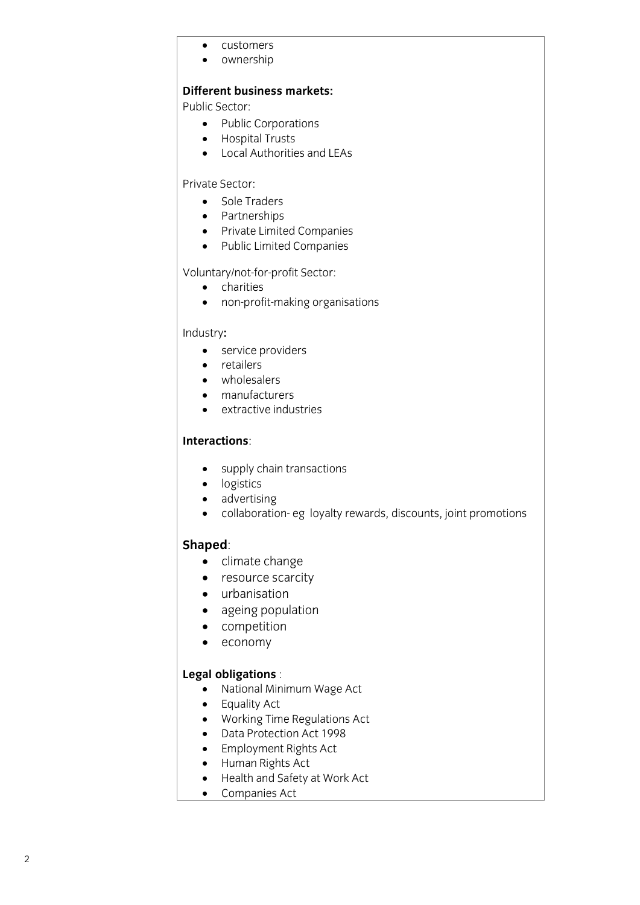- customers
- ownership

### **Different business markets:**

**Public Sector:** 

- Public Corporations<br>• Hospital Trusts
	- Hospital Trusts
	- Local Authorities and LEAs

### Private Sector:

- Sole Traders<br>• Partnershins
	- Partnerships
	- Private Limited Companies
	- Public Limited Companies

- 
- o charities<br>
o non-profit-making orga non-profit-making organisations

- e service providers<br> **e** retailers
	- retailers
	- wholesalers
	- manufacturers
	- extractive industries

- supply chain transactions
- logistics
- advertising<br>• collaboratic
- collaboration- eg loyalty rewards, discounts, joint promotions

- **Shapedon**<br> **Shaped**: Contract care
	- resource scarcity
	- urbanisation
	- ageing population
	- competition
	- economy

- **Legal of Strand Minimum Wage Act**<br> **A** Equality Act
	- Equality Act
	- Working Time Regulations Act
	- Data Protection Act 1998
	- Employment Rights Act
	- Human Rights Act
	- Health and Safety at Work Act
	- Companies Act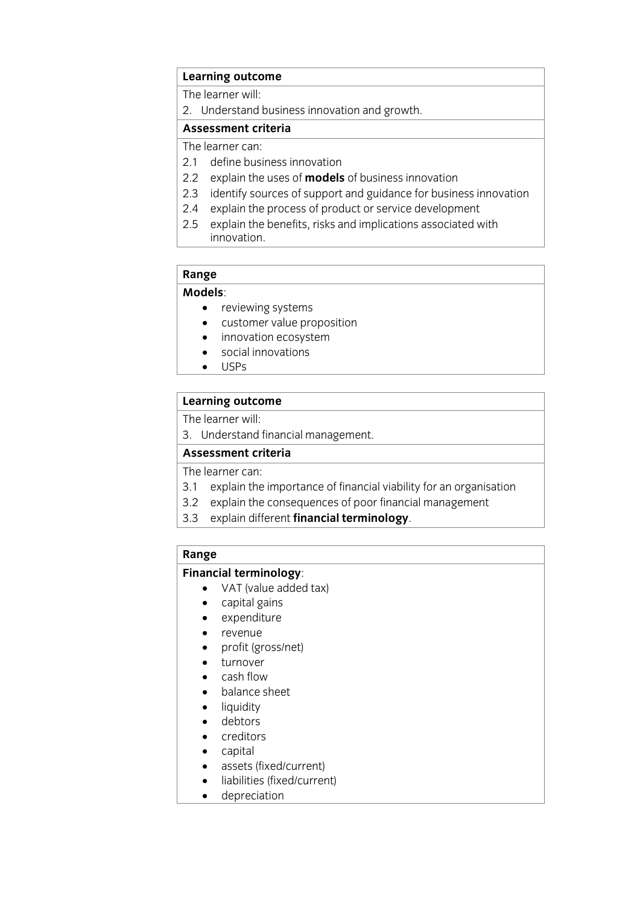## **Learning outcome**<br>The learner will:

2. Understand business innovation and growth.

### Assessment criteria

The learner can:

- 2.1 define business innovation
- 2.2 explain the uses of **models** of business innovation
- 2.3 identify sources of support and guidance for business innovation
- 2.4 explain the process of product or service development
- 2.5 explain the benefits, risks and implications associated with innovation. innovation.<br>The contract of the contract of the contract of the contract of the contract of the contract of the contract o

## Range<br>Models:

- **•** reviewing systems<br>• Customer value pro
	- customer value proposition
	- innovation ecosystem
	- social innovations
	- USPs

## **Learning outcome**<br>The learner will:

3. Understand financial management.

### Assessment criteria

The learner can:

- 3.1 explain the importance of financial viability for an organisation
- 3.2 explain the consequences of poor financial management
- $\frac{1}{2}$  explain different financial terminology 3.3 explain different **financial terminology**.

# **Range<br>Financial terminology**:

- VAT (value added tax)
	- capital gains
	- expenditure
	- revenue
	- profit (gross/net)
	- turnover
	- cash flow
	- balance sheet
	- liquidity
	- debtors<br>• creditors
	- creditors
	- capital<br>• assets
	- assets (fixed/current)
	- liabilities (fixed/current)
	- depreciation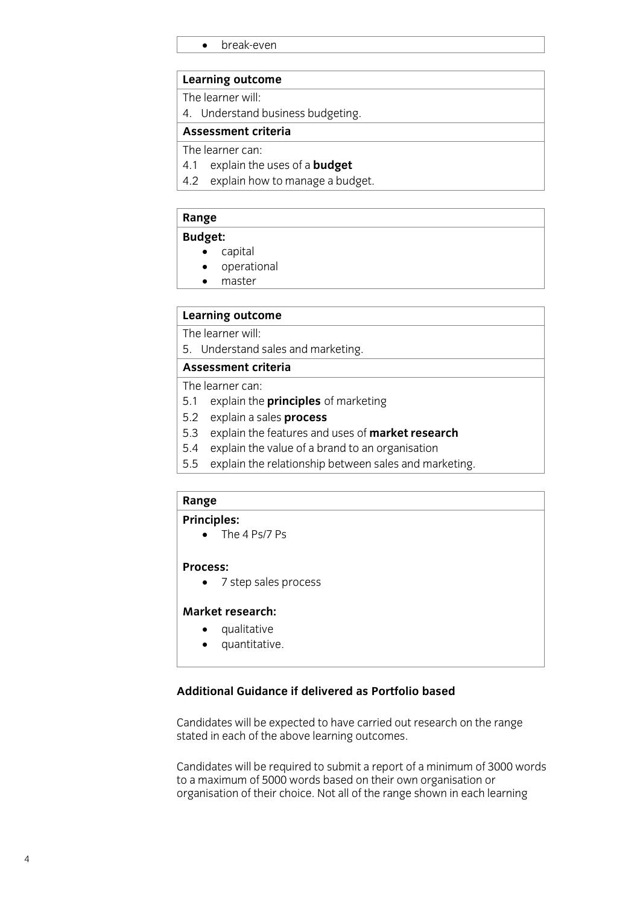• break-even

## **Learning outcome**<br>The learner will:

4. Understand business budgeting.

### Assessment criteria

The learner can:

- 4.1 explain the uses of a **budget**
- 4.2 explain how to manage a budget. <u>4.2 exploration of the management of the management of the management of the management of the management of th</u>

# **Range**<br>**Budget:**

- **•** capital • capital<br>• operati
- operational<br>• master
- master

## **Learning outcome**<br>The learner will:

5. Understand sales and marketing.

### Assessment criteria

The learner can:

- 5.1 explain the **principles** of marketing
- 5.2 explain a sales **process**
- 5.3 explain the features and uses of **market research**
- 5.4 explain the value of a brand to an organisation
- 5.4 explain the religionship hetween sales and ma 5.5 explain the relationship between sales and marketing. The relationship between sales and marketing. The re<br>The relationship between sales and marketing. The relationship between sales and marketing. The relationship b

# Range<br>Principles:

• The 4 Ps/7 Ps

### Process:

• 7 step sales process

### Market research:

- **•** qualitative<br>• *quantitative* 
	- quantitative.

### **Additional Guidance if delivered as Portfolio based**

Candidates will be expected to have carried out research on the range stated in each of the above learning outcomes. stated in each of the above learning outcomes.

Candidates will be required to submit a report of a minimum of 3000 words organisation of their choice. Not all of the range shown in each learning organisation of their choice. Not all of the range shown in each learning